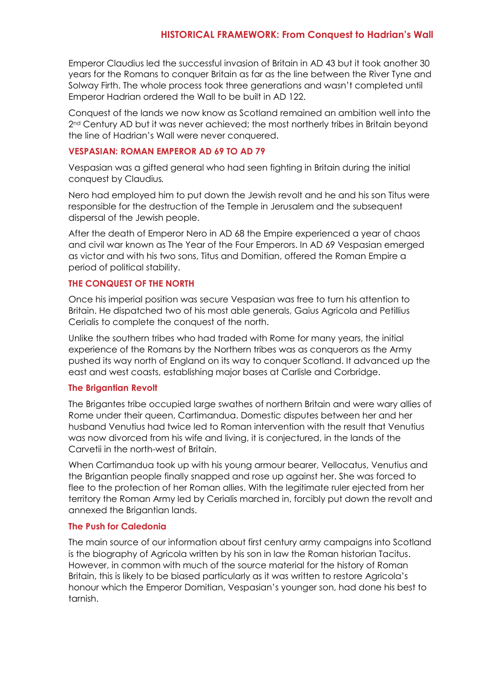Emperor Claudius led the successful invasion of Britain in AD 43 but it took another 30 years for the Romans to conquer Britain as far as the line between the River Tyne and Solway Firth. The whole process took three generations and wasn't completed until Emperor Hadrian ordered the Wall to be built in AD 122.

Conquest of the lands we now know as Scotland remained an ambition well into the 2<sup>nd</sup> Century AD but it was never achieved; the most northerly tribes in Britain beyond the line of Hadrian's Wall were never conquered.

#### **VESPASIAN: ROMAN EMPEROR AD 69 TO AD 79**

Vespasian was a gifted general who had seen fighting in Britain during the initial conquest by Claudius*.*

Nero had employed him to put down the Jewish revolt and he and his son Titus were responsible for the destruction of the Temple in Jerusalem and the subsequent dispersal of the Jewish people.

After the death of Emperor Nero in AD 68 the Empire experienced a year of chaos and civil war known as The Year of the Four Emperors. In AD 69 Vespasian emerged as victor and with his two sons, Titus and Domitian, offered the Roman Empire a period of political stability.

# **THE CONQUEST OF THE NORTH**

Once his imperial position was secure Vespasian was free to turn his attention to Britain. He dispatched two of his most able generals, Gaius Agricola and Petillius Cerialis to complete the conquest of the north.

Unlike the southern tribes who had traded with Rome for many years, the initial experience of the Romans by the Northern tribes was as conquerors as the Army pushed its way north of England on its way to conquer Scotland. It advanced up the east and west coasts, establishing major bases at Carlisle and Corbridge.

# **The Brigantian Revolt**

The Brigantes tribe occupied large swathes of northern Britain and were wary allies of Rome under their queen, Cartimandua. Domestic disputes between her and her husband Venutius had twice led to Roman intervention with the result that Venutius was now divorced from his wife and living, it is conjectured, in the lands of the Carvetii in the north-west of Britain.

When Cartimandua took up with his young armour bearer, Vellocatus, Venutius and the Brigantian people finally snapped and rose up against her. She was forced to flee to the protection of her Roman allies. With the legitimate ruler ejected from her territory the Roman Army led by Cerialis marched in, forcibly put down the revolt and annexed the Brigantian lands.

# **The Push for Caledonia**

The main source of our information about first century army campaigns into Scotland is the biography of Agricola written by his son in law the Roman historian Tacitus. However, in common with much of the source material for the history of Roman Britain, this is likely to be biased particularly as it was written to restore Agricola's honour which the Emperor Domitian, Vespasian's younger son, had done his best to tarnish.